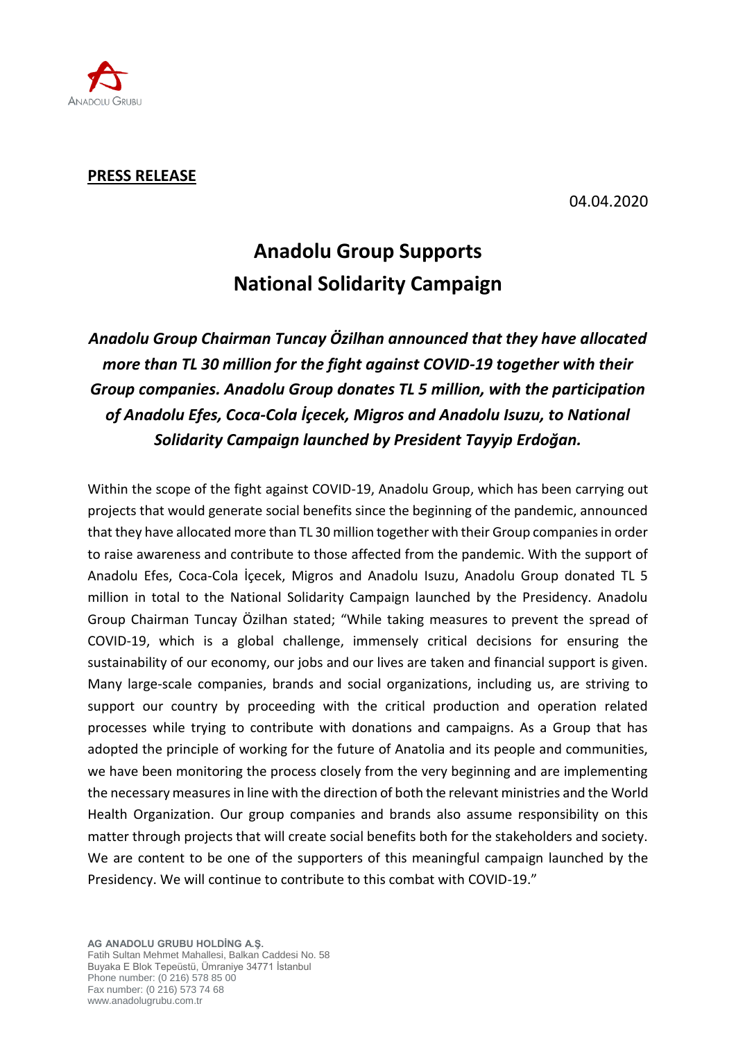

## **PRESS RELEASE**

04.04.2020

## **Anadolu Group Supports National Solidarity Campaign**

*Anadolu Group Chairman Tuncay Özilhan announced that they have allocated more than TL 30 million for the fight against COVID-19 together with their Group companies. Anadolu Group donates TL 5 million, with the participation of Anadolu Efes, Coca-Cola İçecek, Migros and Anadolu Isuzu, to National Solidarity Campaign launched by President Tayyip Erdoğan.*

Within the scope of the fight against COVID-19, Anadolu Group, which has been carrying out projects that would generate social benefits since the beginning of the pandemic, announced that they have allocated more than TL 30 million together with their Group companies in order to raise awareness and contribute to those affected from the pandemic. With the support of Anadolu Efes, Coca-Cola İçecek, Migros and Anadolu Isuzu, Anadolu Group donated TL 5 million in total to the National Solidarity Campaign launched by the Presidency. Anadolu Group Chairman Tuncay Özilhan stated; "While taking measures to prevent the spread of COVID-19, which is a global challenge, immensely critical decisions for ensuring the sustainability of our economy, our jobs and our lives are taken and financial support is given. Many large-scale companies, brands and social organizations, including us, are striving to support our country by proceeding with the critical production and operation related processes while trying to contribute with donations and campaigns. As a Group that has adopted the principle of working for the future of Anatolia and its people and communities, we have been monitoring the process closely from the very beginning and are implementing the necessary measures in line with the direction of both the relevant ministries and the World Health Organization. Our group companies and brands also assume responsibility on this matter through projects that will create social benefits both for the stakeholders and society. We are content to be one of the supporters of this meaningful campaign launched by the Presidency. We will continue to contribute to this combat with COVID-19."